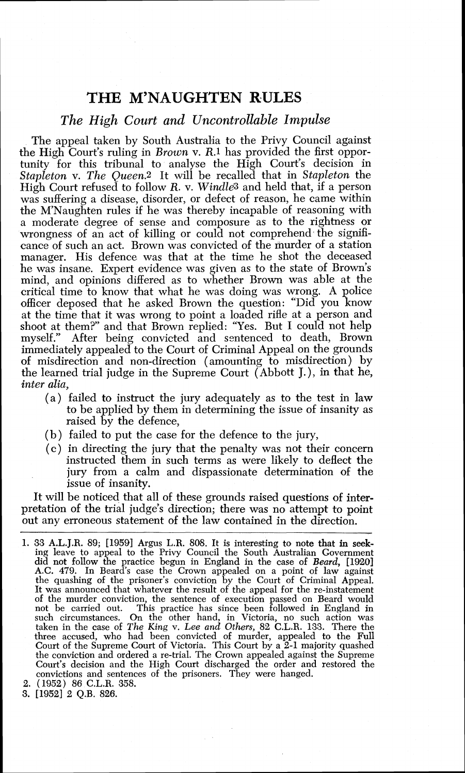## THE M'NAUGHTEN RULES

## *The High Court and Uncontrollable Impulse*

The appeal taken by South Australia to the Privy Council against the High Court's ruling in Brown v. R.1 has provided the first opportunity for this tribunal to analyse the High Court's decision in Stapleton **v**. The Queen.<sup>2</sup> It will be recalled that in Stapleton the High Court refused to follow *R. v. Windle*<sup>3</sup> and held that, if a person was suffering a disease, disorder, or defect of reason, he came within the M'Naughten rules if he was thereby incapable of reasoning with a moderate degree of sense and composure as to the rightness or wrongness of an act of killing or could not comprehend the significance of such an act. Brown was convicted of the murder of a station manager. His defence was that at the time he shot the deceased he was insane. Expert evidence was given as to the state of Brown's mind, and opinions differed as to whether Brown was able at the critical time to know that what he was doing was wrong. A police officer deposed that he asked Brown the question: "Did you know at the time that it was wrong to point a loaded rifle at a person and shoot at them?" and that Brown replied: "Yes. But I could not help myself." After being convicted and sentenced to death, Brown immediately appealed to the Court of Criminal Appeal on the grounds of misdirection and non-direction (amounting to misdirection) by the learned trial judge in the Supreme Court (Abbott J.), in that he, inter *alia,* 

- (a) failed to instruct the jury adequately as to the test in law to be applied by them in determining the issue of insanity as raised by the defence,
- (b) failed to put the case for the defence to the jury,
- (c) in directing the jury that the penalty was not their concern instructed them in such terms as were likely to deflect the jury from a calm and dispassionate determination of the issue of insanity.

It will be noticed that all of these grounds raised questions of interpretation of the trial judge's direction; there was no attempt to point out any erroneous statement of the law contained in the direction.

- 1. 33 A.L.J.R. 89; [I9591 Argus L.R. 808. It is interesting to note that in **seek**ing leave to appeal to the Privy Council the South Australian Government did not follow the practice begun in England in the case of *Beard*, [1920] A.C. *479.* In Beard's case the Crown appealed on a point of law against the quashing of the prisoner's conviction by the Court of Criminal Appeal. It was announced that whatever the result of the appeal for the re-instatement of the murder conviction, the sentence of execution passed on Beard would not be carried out. This practice has since been followed in England in such circumstances. On the other hand, in Victoria, no such action was taken in the case of The King v. Lee *and Others,* 82 C.L.R. 133. There the three accused, who had been convicted of murder, appealed to the Full Court of the Supreme Court of Victoria. This Court by a 2-1 majority quashed the conviction and ordered a re-trial. The Crown appealed against the Supreme Court's decision and the High Court discharged the order and restored the convictions and sentences of the prisoners. They were hanged.
- 2. (1952) 86 C.L.R. 358.
- 3. [I9521 2 Q.B. 826.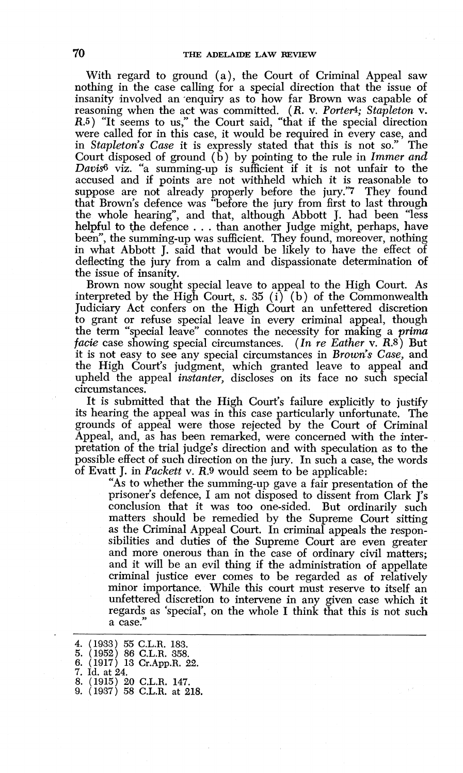With regard to ground (a), the Court of Criminal Appeal saw nothing in the case calling for a special direction that the issue of insanity involved an enquiry as to how far Brown was capable of reasoning when the act was committed. (R. *v. Ported; Stapleton* **v. R.5)** "It seems to us," the Court said, "that if the special direction were called for in this case, it would be required in every case, and in *Stapleton's Case* it is expressly stated that this is not so." The Court disposed of ground  $(\bar{b})$  by pointing to the rule in *Immer and Davi&* viz. "a summing-up is sufficient if it is not unfair to the accused and if points are not withheld which it is reasonable to suppose are not already properly before the jury."7 They found that Brown's defence was "before the jury from first to last through the whole hearing", and that, although Abbott J. had been "less helpful to the defence . . . than another Judge might, perhaps, have been", the summing-up was sufficient. They found, moreover, nothing in what Abbott J. said that would be likely to have the effect of deflecting the jury from a calm and dispassionate determination of the issue of insanity.

Brown now sought special leave to appeal to the High Court. As interpreted by the High Court, s. 35 (i) (b) of the Commonwealth Judiciary Act confers on the High Court an unfettered discretion to grant or refuse special leave in every criminal appeal, though the term "special leave" connotes the necessity for making a *prima facie* case showing special circumstances. *(In re Eather* v. *R.8)* But it is not easy to see any special circumstances in *Brown's Case,* and the High Court's judgment, which granted leave to appeal and upheld the appeal *instanter,* discloses on its face no such special circumstances.

It is submitted that the High Court's failure explicitly to justify its hearing the appeal was in this case particularly unfortunate. The grounds of appeal were those rejected by the Court of Criminal Appeal, and, as has been remarked, were concerned with the interpretation of the trial judge's direction and with speculation as to the possible effect of such direction on the jury. In such a case, the words of Evatt J. in *Packett* v. *R.9* would seem to be applicable:

"As to whether the summing-up gave a fair presentation of the prisoner's defence, I am not disposed to dissent from Clark I's conclusion that it was too one-sided. But ordinarily such matters should be remedied by the Supreme Court sitting as the Criminal Appeal Court. In criminal appeals the responsibilities and duties of the Supreme Court are even greater and more onerous than in the case of ordinary civil matters; and it will be an evil thing if the administration of appellate criminal justice ever comes to be regarded as of relatively minor importance. While this court must reserve to itself an unfettered discretion to intervene in any given case which it regards as 'special', on the whole I think that this is not such a case.'

*4.* ( *1933) 55* C.L.R. *183. 5. (1952) 86* C.L.R. *358. 6. (1917) 13* Cr.App.R. *22. 7.* Id. *at 24. 8. (1915) 20* C.L.R. *147. 9. (1937) 58* C.L.R. *at 218.*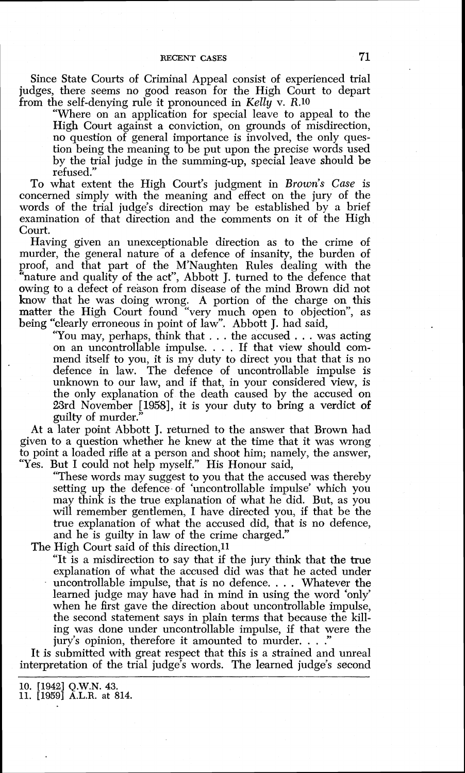## RECENT CASES 71

Since State Courts of Criminal Appeal consist of experienced trial judges, there seems no good reason for the High Court to depart from the self-denying rule it pronounced in Kelly v. *R.10* 

"Where on an application for special leave to appeal to the High Court against a conviction, on grounds of misdirection, no question of general importance is involved, the only question being the meaning to be put upon the precise words used by the trial judge in the summing-up, special leave should be refused."

To what extent the High Court's judgment in *Brown's* Case is concerned simply with the meaning and effect on the jury of the words of the trial judge's direction may be established by a brief examination of that direction and the comments on it of the High Court.

Having given an unexceptionable direction as to the crime of murder, the general nature of a defence of insanity, the burden of proof, and that part of the M'Naughten Rules dealing with the "nature and quality of the act", Abbott J, turned to the defence that owing to a defect of reason from disease of the mind Brown did not know that he was doing wrong. A portion of the charge on this matter the High Court found "very much open to objection", as being "clearly erroneous in point of law". Abbott J. had said,

"You may, perhaps, think that . . . the accused . . . was acting on an uncontrollable impulse. . . . If that view should commend itself to you, it is my duty to direct you that that is no defence in law. The defence of uncontrollable impulse is unknown to our law, and if that, in your considered view, is the only explanation of the death caused by the accused on 23rd November [1958], it is your duty to bring a verdict of guilty of murder."

At a later point Abbott J. returned to the answer that Brown had given to a question whether he knew at the time that it was wrong to point a loaded rifle at a person and shoot him; namely, the answer, "Yes. But I could not help myself." His Honour said,

"These words may suggest to you that the accused was thereby setting up the defence of 'uncontrollable impulse' which you may think is the true explanation of what he did. But, as you will remember gentlemen, I have directed you, if that be the true explanation of what the accused did, that is no defence, and he is guilty in law of the crime charged."

The High Court said of this direction, 11

"It is a misdirection to say that if the jury think that the true explanation of what the accused did was that he acted under uncontrollable impulse, that is no defence. . . . Whatever the learned judge may have had in mind in using the word 'only' when he first gave the direction about uncontrollable impulse, the second statement says in plain terms that because the killing was done under uncontrollable impulse, if that were the jury's opinion, therefore it amounted to murder.  $\ldots$ .

It is submitted with great respect that this is a strained and unreal interpretation of the trial judge's words. The learned judge's second

lo. [I9421 Q.W.N. **43.**  11. [1959] A.L.R. at 814.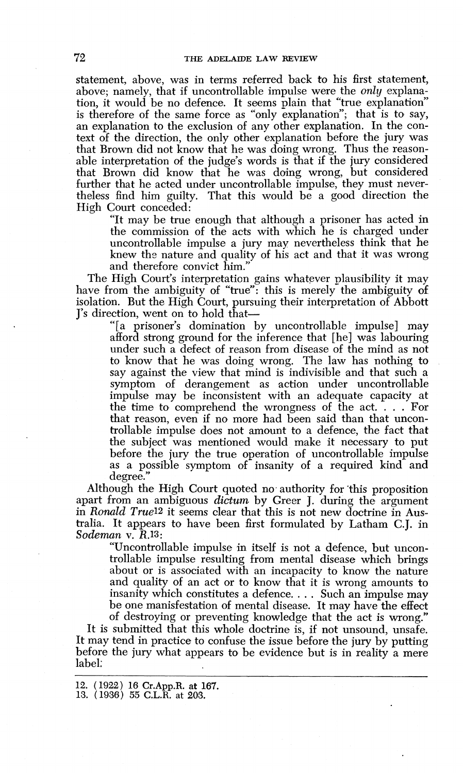statement, above, was in terms referred back to his first statement, above; namely, that if uncontrollable impulse were the *only* explanation, it would be no defence. It seems plain that "true explanation" is therefore of the same force as "only explanation"; that is to say, an explanation to the exclusion of any other explanation. In the context of the direction, the only other explanation before the jury was that Brown did not know that he was doing wrong. Thus the reasonable interpretation of the judge's words is that if the jury considered that Brown did know that he was doing wrong, but considered further that he acted under uncontrollable impulse, they must nevertheless find him guilty. That this would be a good direction the High Court conceded:

"It may be true enough that although a prisoner has acted in the commission of the acts with which he is charged under uncontrollable impulse a jury may nevertheless think that he knew the nature and quality of his act and that it was wrong and therefore convict him."

The High Court's interpretation gains whatever plausibility it may have from the ambiguity of "true": this is merely the ambiguity of isolation. But the High Court, pursuing their interpretation of Abbott J's direction, went on to hold that-

"[a prisoner's domination by uncontrollable impulse] may afford strong ground for the inference that [he] was labouring under such a defect of reason from disease of the mind as not to know that he was doing wrong. The law has nothing to say against the view that mind is indivisible and that such a symptom of derangement as action under uncontrollable impulse may be inconsistent with an adequate capacity at the time to comprehend the wrongness of the act. . . . For that reason, even if no more had been said than that uncontrollable impulse does not amount to a defence, the fact that the subject was mentioned would make it necessary to put before the jury the true operation of uncontrollable impulse as a possible symptom of insanity of a required kind and degree."

Although the High Court quoted no authority for this proposition apart from an ambiguous *dictum* by Greer J, during the argument in *Ronald True*<sup>12</sup> it seems clear that this is not new doctrine in Australia. It appears to have been first formulated by Latham C.J. in *Sodernan* v. *R.13:* 

"Uncontrollable impulse in itself is not a defence, but uncontrollable impulse resulting from mental disease which brings about or is associated with an incapacity to know the nature and quality of an act or to know that it is wrong amounts to insanity which constitutes a defence. . . . Such an impulse may be one manisfestation of mental disease. It may have the effect of destroying or preventing knowledge that the act is wrong."

It is submitted that this whole doctrine is, if not unsound, unsafe. It may tend in practice to confuse the issue before the jury by putting before the jury what appears to be evidence but is in reality a mere label;

12. ( 1922) 16 **Cr.App.R.** *at* 167. 13. (1936) 55 C.L.R. at 203.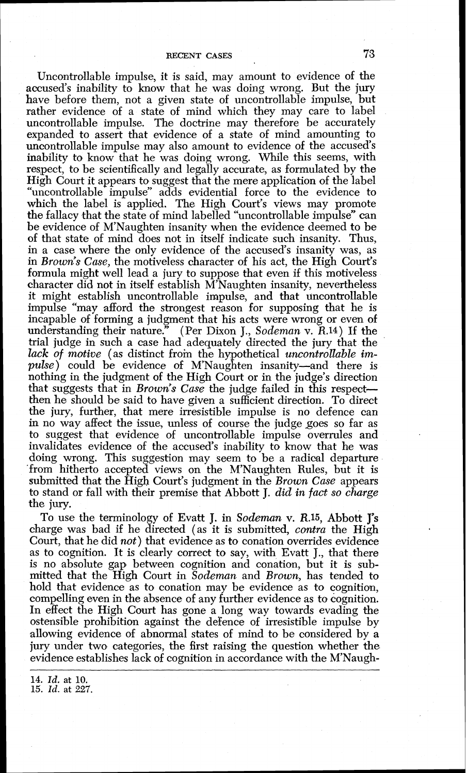Uncontrollable impulse, it is said, may amount to evidence of the accused's inability to know that he was doing wrong. But the jury have before them, not a given state of uncontrollable impulse, but rather evidence of a state of mind which they may care to label uncontrollable impulse. The doctrine may therefore be accurately expanded to assert that evidence of a state of mind amounting to uncontrollable impulse may also amount to evidence of the accused's inability to know that he was doing wrong. While this seems, with respect, to be scientifically and legally accurate, as formulated by the High Court it appears to suggest that the mere application of the label "uncontrollable impulse" adds evidential force to the evidence to which the label is applied. The High Court's views may promote the fallacy that the state of mind labelled "uncontrollable impulse" can be evidence of M'Naughten insanity when the evidence deemed to be of that state of mind does not in itself indicate such insanity. Thus, in a case where the only evidence of the accused's insanity was, as in *Brown's Case,* the motiveless character of his act, the High Court's formula might well lead a jury to suppose that even if this motiveless character did not in itself establish M'Naughten insanity, nevertheless it might establish uncontrollable impulse, and that uncontrollable impulse "may afford the strongest reason for supposing that he is incapable of forming a judgment that his acts were wrong or even of understanding their nature." (Per Dixon J., Sodeman v.  $R.14$ ) If the (Per Dixon J., *Sodeman v. R.14*) If the trial judge in such a case had adequately directed the jury that the lack of motive (as distinct from the hypothetical *uncontrollable im*pulse) could be evidence of M'Naughten insanity—and there is nothing in the judgment of the High Court or in the judge's direction that suggests that in *Brown's Case* the judge failed in this respect then he should be said to have given a sufficient direction. To direct the jury, further, that mere irresistible impulse is no defence can in no way affect the issue, unless of course the judge goes so far as to suggest that evidence of uncontrollable impulse overrules and invalidates evidence of the accused's inability to know that he was doing wrong. This suggestion may seem to be a radical departure 'from hitherto accepted views on the M'Naughten Rules, but it is submitted that the High Court's judgment in the *Brown Case* appears to stand or fall with their premise that Abbott J. did in *fact so charge*  the jury.

To use the terminology of Evatt J. in *Sodeman* v. **R.15,** Abbott **J's**  charge was bad if he directed (as it is submitted, *contra* the High Court, that he did *not*) that evidence as to conation overrides evidence as to cognition. It is clearly correct to say, with Evatt J., that there is no absolute gap between cognition and conation, but it is submitted that the High Court in *Sodeman* and *Brown,* has tended *to*  hold that evidence as to conation may be evidence as to cognition, compelling even in the absence of any further evidence as to cognition. In effect the High Court has gone a long way towards evading the ostensible prohibition against the de'fence of irresistible impulse by allowing evidence of abnormal states of mind to be considered by a jury under two categories, the first raising the question whether the evidence establishes lack of cognition in accordance with the M'Naugh-

**14.** *Id.* at **10. 15.** *Id.* at *227.*